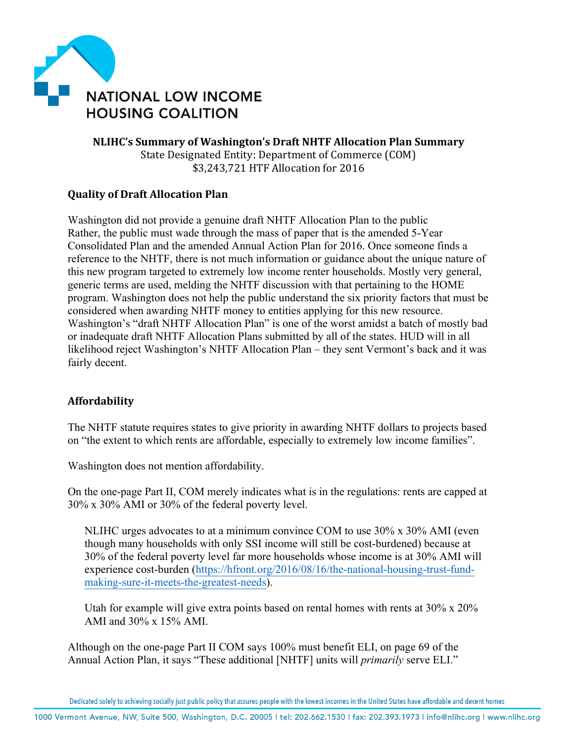

**NLIHC's Summary of Washington's Draft NHTF Allocation Plan Summary** State Designated Entity: Department of Commerce (COM) \$3,243,721 HTF Allocation for 2016

## **Quality of Draft Allocation Plan**

Washington did not provide a genuine draft NHTF Allocation Plan to the public Rather, the public must wade through the mass of paper that is the amended 5-Year Consolidated Plan and the amended Annual Action Plan for 2016. Once someone finds a reference to the NHTF, there is not much information or guidance about the unique nature of this new program targeted to extremely low income renter households. Mostly very general, generic terms are used, melding the NHTF discussion with that pertaining to the HOME program. Washington does not help the public understand the six priority factors that must be considered when awarding NHTF money to entities applying for this new resource. Washington's "draft NHTF Allocation Plan" is one of the worst amidst a batch of mostly bad or inadequate draft NHTF Allocation Plans submitted by all of the states. HUD will in all likelihood reject Washington's NHTF Allocation Plan – they sent Vermont's back and it was fairly decent.

## **Affordability**

The NHTF statute requires states to give priority in awarding NHTF dollars to projects based on "the extent to which rents are affordable, especially to extremely low income families".

Washington does not mention affordability.

On the one-page Part II, COM merely indicates what is in the regulations: rents are capped at 30% x 30% AMI or 30% of the federal poverty level.

NLIHC urges advocates to at a minimum convince COM to use 30% x 30% AMI (even though many households with only SSI income will still be cost-burdened) because at 30% of the federal poverty level far more households whose income is at 30% AMI will experience cost-burden (https://hfront.org/2016/08/16/the-national-housing-trust-fundmaking-sure-it-meets-the-greatest-needs).

Utah for example will give extra points based on rental homes with rents at  $30\% \times 20\%$ AMI and 30% x 15% AMI.

Although on the one-page Part II COM says 100% must benefit ELI, on page 69 of the Annual Action Plan, it says "These additional [NHTF] units will *primarily* serve ELI."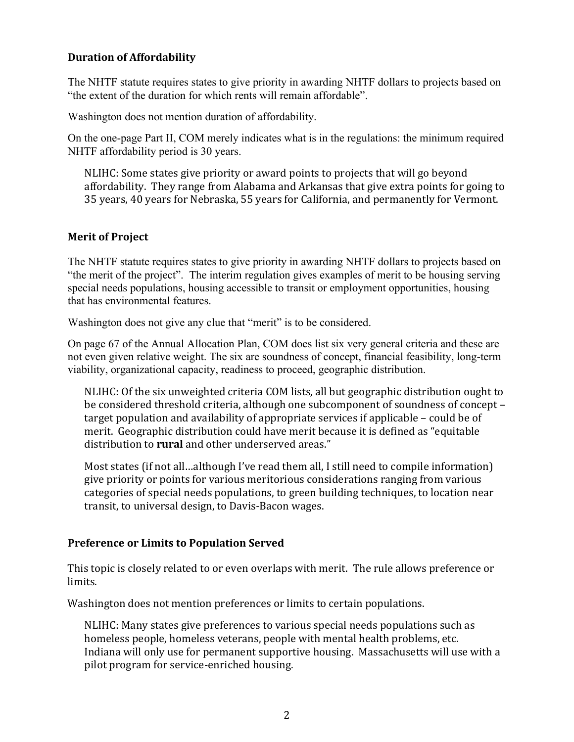## **Duration of Affordability**

The NHTF statute requires states to give priority in awarding NHTF dollars to projects based on "the extent of the duration for which rents will remain affordable".

Washington does not mention duration of affordability.

On the one-page Part II, COM merely indicates what is in the regulations: the minimum required NHTF affordability period is 30 years.

NLIHC: Some states give priority or award points to projects that will go beyond affordability. They range from Alabama and Arkansas that give extra points for going to 35 years, 40 years for Nebraska, 55 years for California, and permanently for Vermont.

## **Merit of Project**

The NHTF statute requires states to give priority in awarding NHTF dollars to projects based on "the merit of the project". The interim regulation gives examples of merit to be housing serving special needs populations, housing accessible to transit or employment opportunities, housing that has environmental features.

Washington does not give any clue that "merit" is to be considered.

On page 67 of the Annual Allocation Plan, COM does list six very general criteria and these are not even given relative weight. The six are soundness of concept, financial feasibility, long-term viability, organizational capacity, readiness to proceed, geographic distribution.

NLIHC: Of the six unweighted criteria COM lists, all but geographic distribution ought to be considered threshold criteria, although one subcomponent of soundness of concept target population and availability of appropriate services if applicable  $-$  could be of merit. Geographic distribution could have merit because it is defined as "equitable distribution to **rural** and other underserved areas."

Most states (if not all...although I've read them all, I still need to compile information) give priority or points for various meritorious considerations ranging from various categories of special needs populations, to green building techniques, to location near transit, to universal design, to Davis-Bacon wages.

## **Preference or Limits to Population Served**

This topic is closely related to or even overlaps with merit. The rule allows preference or limits.

Washington does not mention preferences or limits to certain populations.

NLIHC: Many states give preferences to various special needs populations such as homeless people, homeless veterans, people with mental health problems, etc. Indiana will only use for permanent supportive housing. Massachusetts will use with a pilot program for service-enriched housing.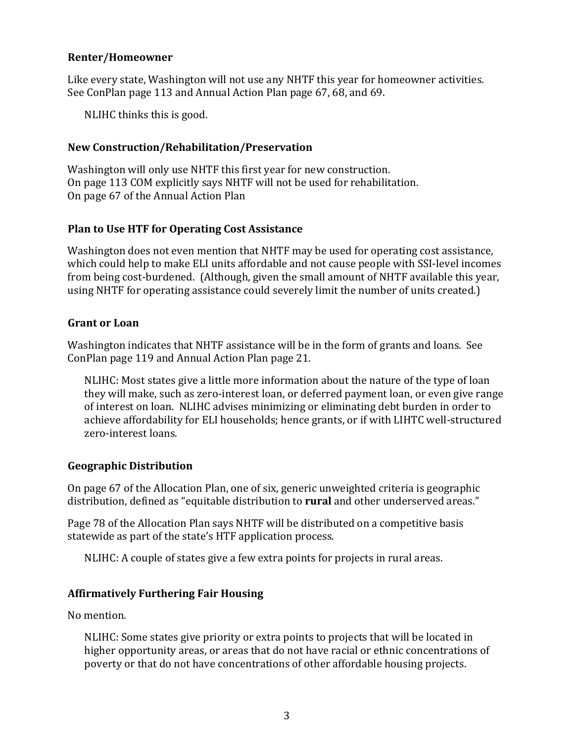## **Renter/Homeowner**

Like every state, Washington will not use any NHTF this year for homeowner activities. See ConPlan page 113 and Annual Action Plan page 67, 68, and 69.

NLIHC thinks this is good.

## **New Construction/Rehabilitation/Preservation**

Washington will only use NHTF this first year for new construction. On page 113 COM explicitly says NHTF will not be used for rehabilitation. On page 67 of the Annual Action Plan

## **Plan to Use HTF for Operating Cost Assistance**

Washington does not even mention that NHTF may be used for operating cost assistance, which could help to make ELI units affordable and not cause people with SSI-level incomes from being cost-burdened. (Although, given the small amount of NHTF available this year, using NHTF for operating assistance could severely limit the number of units created.)

## **Grant or Loan**

Washington indicates that NHTF assistance will be in the form of grants and loans. See ConPlan page 119 and Annual Action Plan page 21.

NLIHC: Most states give a little more information about the nature of the type of loan they will make, such as zero-interest loan, or deferred payment loan, or even give range of interest on loan. NLIHC advises minimizing or eliminating debt burden in order to achieve affordability for ELI households; hence grants, or if with LIHTC well-structured zero-interest loans.

## **Geographic Distribution**

On page 67 of the Allocation Plan, one of six, generic unweighted criteria is geographic distribution, defined as "equitable distribution to **rural** and other underserved areas."

Page 78 of the Allocation Plan says NHTF will be distributed on a competitive basis statewide as part of the state's HTF application process.

NLIHC: A couple of states give a few extra points for projects in rural areas.

# **Affirmatively Furthering Fair Housing**

No mention.

NLIHC: Some states give priority or extra points to projects that will be located in higher opportunity areas, or areas that do not have racial or ethnic concentrations of poverty or that do not have concentrations of other affordable housing projects.